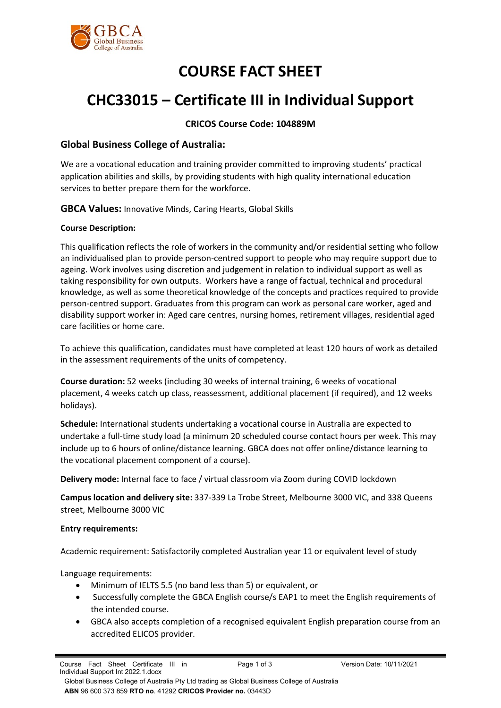

# **COURSE FACT SHEET**

# **CHC33015 – Certificate III in Individual Support**

# **CRICOS Course Code: 104889M**

## **Global Business College of Australia:**

We are a vocational education and training provider committed to improving students' practical application abilities and skills, by providing students with high quality international education services to better prepare them for the workforce.

**GBCA Values:** Innovative Minds, Caring Hearts, Global Skills

## **Course Description:**

This qualification reflects the role of workers in the community and/or residential setting who follow an individualised plan to provide person-centred support to people who may require support due to ageing. Work involves using discretion and judgement in relation to individual support as well as taking responsibility for own outputs. Workers have a range of factual, technical and procedural knowledge, as well as some theoretical knowledge of the concepts and practices required to provide person-centred support. Graduates from this program can work as personal care worker, aged and disability support worker in: Aged care centres, nursing homes, retirement villages, residential aged care facilities or home care.

To achieve this qualification, candidates must have completed at least 120 hours of work as detailed in the assessment requirements of the units of competency.

**Course duration:** 52 weeks (including 30 weeks of internal training, 6 weeks of vocational placement, 4 weeks catch up class, reassessment, additional placement (if required), and 12 weeks holidays).

**Schedule:** International students undertaking a vocational course in Australia are expected to undertake a full-time study load (a minimum 20 scheduled course contact hours per week. This may include up to 6 hours of online/distance learning. GBCA does not offer online/distance learning to the vocational placement component of a course).

**Delivery mode:** Internal face to face / virtual classroom via Zoom during COVID lockdown

**Campus location and delivery site:** 337-339 La Trobe Street, Melbourne 3000 VIC, and 338 Queens street, Melbourne 3000 VIC

## **Entry requirements:**

Academic requirement: Satisfactorily completed Australian year 11 or equivalent level of study

Language requirements:

- Minimum of IELTS 5.5 (no band less than 5) or equivalent, or
- Successfully complete the GBCA English course/s EAP1 to meet the English requirements of the intended course.
- GBCA also accepts completion of a recognised equivalent English preparation course from an accredited ELICOS provider.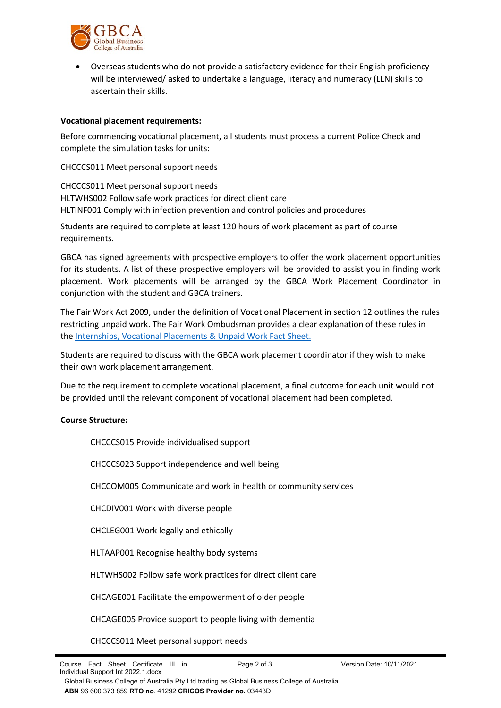

• Overseas students who do not provide a satisfactory evidence for their English proficiency will be interviewed/ asked to undertake a language, literacy and numeracy (LLN) skills to ascertain their skills.

### **Vocational placement requirements:**

Before commencing vocational placement, all students must process a current Police Check and complete the simulation tasks for units:

CHCCCS011 Meet personal support needs

CHCCCS011 Meet personal support needs HLTWHS002 Follow safe work practices for direct client care HLTINF001 Comply with infection prevention and control policies and procedures

Students are required to complete at least 120 hours of work placement as part of course requirements.

GBCA has signed agreements with prospective employers to offer the work placement opportunities for its students. A list of these prospective employers will be provided to assist you in finding work placement. Work placements will be arranged by the GBCA Work Placement Coordinator in conjunction with the student and GBCA trainers.

The Fair Work Act 2009, under the definition of Vocational Placement in [section 12](http://www.austlii.edu.au/au/legis/cth/consol_act/fwa2009114/s12.html) outlines the rules restricting unpaid work. The Fair Work Ombudsman provides a clear explanation of these rules in the [Internships, Vocational Placements & Unpaid Work Fact Sheet.](http://www.holmesglen.edu.au/students/graduate_employment/employment_resources/employment_resources/work_experience)

Students are required to discuss with the GBCA work placement coordinator if they wish to make their own work placement arrangement.

Due to the requirement to complete vocational placement, a final outcome for each unit would not be provided until the relevant component of vocational placement had been completed.

#### **Course Structure:**

CHCCCS015 Provide individualised support

CHCCCS023 Support independence and well being

CHCCOM005 Communicate and work in health or community services

CHCDIV001 Work with diverse people

CHCLEG001 Work legally and ethically

HLTAAP001 Recognise healthy body systems

HLTWHS002 Follow safe work practices for direct client care

CHCAGE001 Facilitate the empowerment of older people

CHCAGE005 Provide support to people living with dementia

CHCCCS011 Meet personal support needs